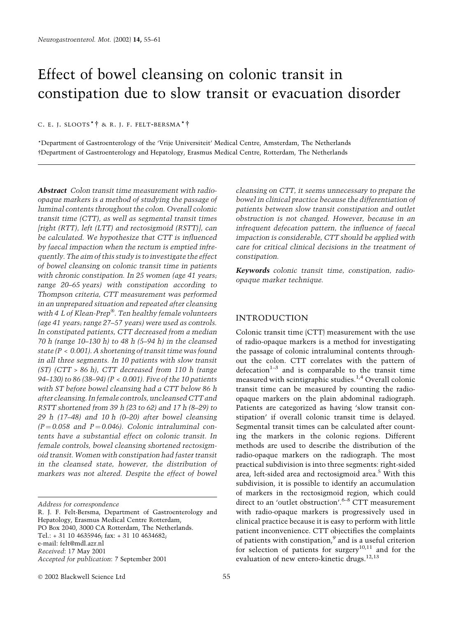# Effect of bowel cleansing on colonic transit in constipation due to slow transit or evacuation disorder

C. E. J. SLOOTS<sup>\*</sup><sup>†</sup> & R. J. F. FELT-BERSMA<sup>\*</sup><sup>†</sup>

\*Department of Gastroenterology of the `Vrije Universiteit' Medical Centre, Amsterdam, The Netherlands Department of Gastroenterology and Hepatology, Erasmus Medical Centre, Rotterdam, The Netherlands

Abstract Colon transit time measurement with radioopaque markers is a method of studying the passage of luminal contents throughout the colon. Overall colonic transit time (CTT), as well as segmental transit times [right (RTT), left (LTT) and rectosigmoid (RSTT)], can be calculated. We hypothesize that CTT is influenced by faecal impaction when the rectum is emptied infrequently. The aim of this study is to investigate the effect of bowel cleansing on colonic transit time in patients with chronic constipation. In 25 women (age 41 years; range 20-65 years) with constipation according to Thompson criteria, CTT measurement was performed in an unprepared situation and repeated after cleansing with 4 L of Klean-Prep®. Ten healthy female volunteers (age 41 years; range 27-57 years) were used as controls. In constipated patients, CTT decreased from a median 70 h (range 10–130 h) to 48 h (5–94 h) in the cleansed state  $(P < 0.001)$ . A shortening of transit time was found in all three segments. In 10 patients with slow transit  $(ST)$  (CTT > 86 h), CTT decreased from 110 h (range 94 $-130$ ) to 86 (38 $-94$ ) (P < 0.001). Five of the 10 patients with ST before bowel cleansing had a CTT below 86 h after cleansing. In female controls, uncleansed CTT and RSTT shortened from 39 h (23 to 62) and 17 h (8-29) to 29 h (17-48) and 10 h (0-20) after bowel cleansing  $(P = 0.058$  and  $P = 0.046$ . Colonic intraluminal contents have a substantial effect on colonic transit. In female controls, bowel cleansing shortened rectosigmoid transit. Women with constipation had faster transit in the cleansed state, however, the distribution of markers was not altered. Despite the effect of bowel

Address for correspondence

R. J. F. Felt-Bersma, Department of Gastroenterology and Hepatology, Erasmus Medical Centre Rotterdam, PO Box 2040, 3000 CA Rotterdam, The Netherlands. Tel.: + 31 10 4635946; fax: + 31 10 4634682; e-mail: felt@mdl.azr.nl Received: 17 May 2001 Accepted for publication: 7 September 2001

cleansing on CTT, it seems unnecessary to prepare the bowel in clinical practice because the differentiation of patients between slow transit constipation and outlet obstruction is not changed. However, because in an infrequent defecation pattern, the influence of faecal impaction is considerable, CTT should be applied with care for critical clinical decisions in the treatment of constipation.

Keywords colonic transit time, constipation, radioopaque marker technique.

# INTRODUCTION

Colonic transit time (CTT) measurement with the use of radio-opaque markers is a method for investigating the passage of colonic intraluminal contents throughout the colon. CTT correlates with the pattern of defecation $1-3$  and is comparable to the transit time measured with scintigraphic studies.<sup>1,4</sup> Overall colonic transit time can be measured by counting the radioopaque markers on the plain abdominal radiograph. Patients are categorized as having 'slow transit constipation' if overall colonic transit time is delayed. Segmental transit times can be calculated after counting the markers in the colonic regions. Different methods are used to describe the distribution of the radio-opaque markers on the radiograph. The most practical subdivision is into three segments: right-sided area, left-sided area and rectosigmoid area.<sup>5</sup> With this subdivision, it is possible to identify an accumulation of markers in the rectosigmoid region, which could direct to an 'outlet obstruction'.<sup>6-8</sup> CTT measurement with radio-opaque markers is progressively used in clinical practice because it is easy to perform with little patient inconvenience. CTT objectifies the complaints of patients with constipation,<sup>9</sup> and is a useful criterion for selection of patients for surgery<sup>10,11</sup> and for the evaluation of new entero-kinetic drugs.<sup>12,13</sup>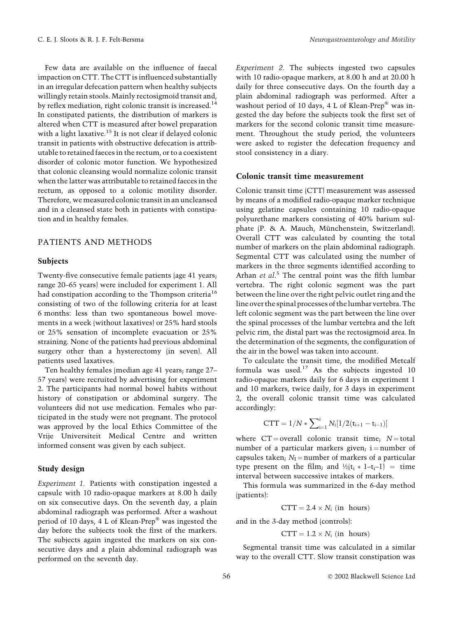Few data are available on the influence of faecal impaction on CTT. The CTT is influenced substantially in an irregular defecation pattern when healthy subjects willingly retain stools. Mainly rectosigmoid transit and, by reflex mediation, right colonic transit is increased.<sup>14</sup> In constipated patients, the distribution of markers is altered when CTT is measured after bowel preparation with a light laxative.<sup>15</sup> It is not clear if delayed colonic transit in patients with obstructive defecation is attributable to retained faeces in the rectum, or to a coexistent disorder of colonic motor function. We hypothesized that colonic cleansing would normalize colonic transit when the latter was attributable to retained faeces in the rectum, as opposed to a colonic motility disorder. Therefore, we measured colonic transit in an uncleansed and in a cleansed state both in patients with constipation and in healthy females.

## PATIENTS AND METHODS

#### **Subjects**

Twenty-five consecutive female patients (age 41 years; range 20-65 years) were included for experiment 1. All had constipation according to the Thompson criteria<sup>16</sup> consisting of two of the following criteria for at least 6 months: less than two spontaneous bowel movements in a week (without laxatives) or 25% hard stools or 25% sensation of incomplete evacuation or 25% straining. None of the patients had previous abdominal surgery other than a hysterectomy (in seven). All patients used laxatives.

Ten healthy females (median age 41 years; range 27-57 years) were recruited by advertising for experiment 2. The participants had normal bowel habits without history of constipation or abdominal surgery. The volunteers did not use medication. Females who participated in the study were not pregnant. The protocol was approved by the local Ethics Committee of the Vrije Universiteit Medical Centre and written informed consent was given by each subject.

#### Study design

Experiment 1. Patients with constipation ingested a capsule with 10 radio-opaque markers at 8.00 h daily on six consecutive days. On the seventh day, a plain abdominal radiograph was performed. After a washout period of 10 days, 4 L of Klean-Prep<sup>®</sup> was ingested the day before the subjects took the first of the markers. The subjects again ingested the markers on six consecutive days and a plain abdominal radiograph was performed on the seventh day.

Experiment 2. The subjects ingested two capsules with 10 radio-opaque markers, at 8.00 h and at 20.00 h daily for three consecutive days. On the fourth day a plain abdominal radiograph was performed. After a washout period of 10 days, 4 L of Klean-Prep® was ingested the day before the subjects took the first set of markers for the second colonic transit time measurement. Throughout the study period, the volunteers were asked to register the defecation frequency and stool consistency in a diary.

#### Colonic transit time measurement

Colonic transit time (CTT) measurement was assessed by means of a modified radio-opaque marker technique using gelatine capsules containing 10 radio-opaque polyurethane markers consisting of 40% barium sulphate (P. & A. Mauch, Münchenstein, Switzerland). Overall CTT was calculated by counting the total number of markers on the plain abdominal radiograph. Segmental CTT was calculated using the number of markers in the three segments identified according to Arhan et al.<sup>5</sup> The central point was the fifth lumbar vertebra. The right colonic segment was the part between the line over the right pelvic outlet ring and the line over the spinal processes of the lumbar vertebra. The left colonic segment was the part between the line over the spinal processes of the lumbar vertebra and the left pelvic rim, the distal part was the rectosigmoid area. In the determination of the segments, the configuration of the air in the bowel was taken into account.

To calculate the transit time, the modified Metcalf formula was used.<sup>17</sup> As the subjects ingested 10 radio-opaque markers daily for 6 days in experiment 1 and 10 markers, twice daily, for 3 days in experiment 2, the overall colonic transit time was calculated accordingly:

$$
CTT = 1/N * \sum\nolimits_{i = 1}^i {{N_i}[1/2(t_{i+1} - t_{i-1})]}
$$

where  $CT = overall$  colonic transit time;  $N = total$ number of a particular markers given;  $i =$ number of capsules taken;  $N_I$  = number of markers of a particular type present on the film; and  $\frac{1}{2}(t_i + 1 - t_i - 1) =$  time interval between successive intakes of markers.

This formula was summarized in the 6-day method (patients):

$$
CTT = 2.4 \times N_i \text{ (in hours)}
$$

and in the 3-day method (controls):

 $CTT = 1.2 \times N_i$  (in hours)

Segmental transit time was calculated in a similar way to the overall CTT. Slow transit constipation was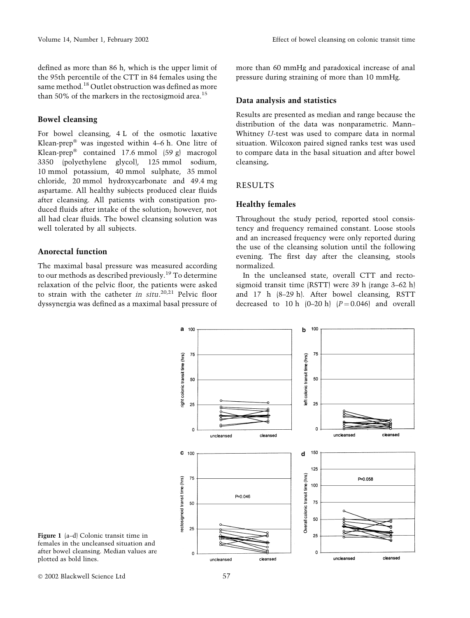defined as more than 86 h, which is the upper limit of the 95th percentile of the CTT in 84 females using the same method.<sup>18</sup> Outlet obstruction was defined as more than 50% of the markers in the rectosigmoid area.<sup>15</sup>

## Bowel cleansing

For bowel cleansing, 4 L of the osmotic laxative Klean-prep<sup>®</sup> was ingested within  $4-6$  h. One litre of Klean-prep® contained 17.6 mmol  $(59 \text{ g})$  macrogol 3350 (polyethylene glycol), 125 mmol sodium, 10 mmol potassium, 40 mmol sulphate, 35 mmol chloride, 20 mmol hydroxycarbonate and 49.4 mg aspartame. All healthy subjects produced clear fluids after cleansing. All patients with constipation produced fluids after intake of the solution; however, not all had clear fluids. The bowel cleansing solution was well tolerated by all subjects.

# Anorectal function

The maximal basal pressure was measured according to our methods as described previously.<sup>19</sup> To determine relaxation of the pelvic floor, the patients were asked to strain with the catheter in situ.<sup>20,21</sup> Pelvic floor dyssynergia was defined as a maximal basal pressure of

more than 60 mmHg and paradoxical increase of anal pressure during straining of more than 10 mmHg.

## Data analysis and statistics

Results are presented as median and range because the distribution of the data was nonparametric. Mann-Whitney U-test was used to compare data in normal situation. Wilcoxon paired signed ranks test was used to compare data in the basal situation and after bowel cleansing.

## RESULTS

## Healthy females

Throughout the study period, reported stool consistency and frequency remained constant. Loose stools and an increased frequency were only reported during the use of the cleansing solution until the following evening. The first day after the cleansing, stools normalized.

In the uncleansed state, overall CTT and rectosigmoid transit time (RSTT) were 39 h (range 3-62 h) and 17 h (8±29 h). After bowel cleansing, RSTT decreased to 10 h  $(0-20 h)$   $(P = 0.046)$  and overall





Ó 2002 Blackwell Science Ltd 57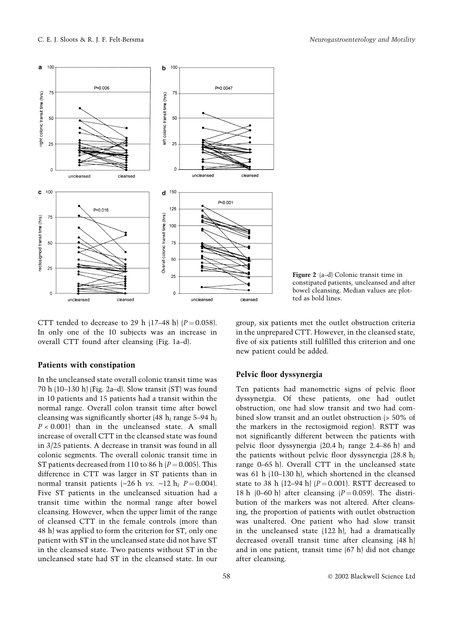

Figure 2 (a-d) Colonic transit time in constipated patients, uncleansed and after bowel cleansing. Median values are plotted as bold lines.

CTT tended to decrease to 29 h (17-48 h)  $(P = 0.058)$ . In only one of the 10 subjects was an increase in overall CTT found after cleansing (Fig. 1a-d).

## Patients with constipation

In the uncleansed state overall colonic transit time was 70 h (10 $-130$  h) (Fig. 2a $-d$ ). Slow transit (ST) was found in 10 patients and 15 patients had a transit within the normal range. Overall colon transit time after bowel cleansing was significantly shorter (48 h; range  $5-94$  h;  $P < 0.001$  than in the uncleansed state. A small increase of overall CTT in the cleansed state was found in 3/25 patients. A decrease in transit was found in all colonic segments. The overall colonic transit time in ST patients decreased from 110 to 86 h  $(P = 0.005)$ . This difference in CTT was larger in ST patients than in normal transit patients  $(-26 \text{ h vs. } -12 \text{ h}; P = 0.004)$ . Five ST patients in the uncleansed situation had a transit time within the normal range after bowel cleansing. However, when the upper limit of the range of cleansed CTT in the female controls (more than 48 h) was applied to form the criterion for ST, only one patient with ST in the uncleansed state did not have ST in the cleansed state. Two patients without ST in the uncleansed state had ST in the cleansed state. In our

group, six patients met the outlet obstruction criteria in the unprepared CTT. However, in the cleansed state, five of six patients still fulfilled this criterion and one new patient could be added.

#### Pelvic floor dyssynergia

Ten patients had manometric signs of pelvic floor dyssynergia. Of these patients, one had outlet obstruction, one had slow transit and two had combined slow transit and an outlet obstruction (> 50% of the markers in the rectosigmoid region). RSTT was not significantly different between the patients with pelvic floor dyssynergia  $(20.4 \text{ h}; \text{ range } 2.4-86 \text{ h})$  and the patients without pelvic floor dyssynergia  $(28.8 h;$ range 0-65 h). Overall CTT in the uncleansed state was 61 h (10-130 h), which shortened in the cleansed state to 38 h (12-94 h)  $(P = 0.001)$ . RSTT decreased to 18 h (0–60 h) after cleansing  $(P = 0.059)$ . The distribution of the markers was not altered. After cleansing, the proportion of patients with outlet obstruction was unaltered. One patient who had slow transit in the uncleansed state (122 h), had a dramatically decreased overall transit time after cleansing (48 h) and in one patient, transit time (67 h) did not change after cleansing.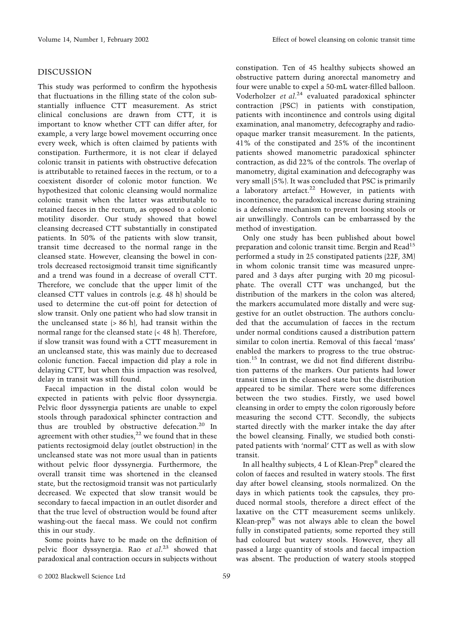# DISCUSSION

This study was performed to confirm the hypothesis that fluctuations in the filling state of the colon substantially influence CTT measurement. As strict clinical conclusions are drawn from CTT, it is important to know whether CTT can differ after, for example, a very large bowel movement occurring once every week, which is often claimed by patients with constipation. Furthermore, it is not clear if delayed colonic transit in patients with obstructive defecation is attributable to retained faeces in the rectum, or to a coexistent disorder of colonic motor function. We hypothesized that colonic cleansing would normalize colonic transit when the latter was attributable to retained faeces in the rectum, as opposed to a colonic motility disorder. Our study showed that bowel cleansing decreased CTT substantially in constipated patients. In 50% of the patients with slow transit, transit time decreased to the normal range in the cleansed state. However, cleansing the bowel in controls decreased rectosigmoid transit time significantly and a trend was found in a decrease of overall CTT. Therefore, we conclude that the upper limit of the cleansed CTT values in controls (e.g. 48 h) should be used to determine the cut-off point for detection of slow transit. Only one patient who had slow transit in the uncleansed state  $(> 86 \text{ h})$ , had transit within the normal range for the cleansed state (< 48 h). Therefore, if slow transit was found with a CTT measurement in an uncleansed state, this was mainly due to decreased colonic function. Faecal impaction did play a role in delaying CTT, but when this impaction was resolved, delay in transit was still found.

Faecal impaction in the distal colon would be expected in patients with pelvic floor dyssynergia. Pelvic floor dyssynergia patients are unable to expel stools through paradoxical sphincter contraction and thus are troubled by obstructive defecation. $20$  In agreement with other studies, $2^2$  we found that in these patients rectosigmoid delay (outlet obstruction) in the uncleansed state was not more usual than in patients without pelvic floor dyssynergia. Furthermore, the overall transit time was shortened in the cleansed state, but the rectosigmoid transit was not particularly decreased. We expected that slow transit would be secondary to faecal impaction in an outlet disorder and that the true level of obstruction would be found after washing-out the faecal mass. We could not confirm this in our study.

Some points have to be made on the definition of pelvic floor dyssynergia. Rao et al.<sup>23</sup> showed that paradoxical anal contraction occurs in subjects without

constipation. Ten of 45 healthy subjects showed an obstructive pattern during anorectal manometry and four were unable to expel a 50-mL water-filled balloon. Voderholzer et al.<sup>24</sup> evaluated paradoxical sphincter contraction (PSC) in patients with constipation, patients with incontinence and controls using digital examination, anal manometry, defecography and radioopaque marker transit measurement. In the patients, 41% of the constipated and 25% of the incontinent patients showed manometric paradoxical sphincter contraction, as did 22% of the controls. The overlap of manometry, digital examination and defecography was very small (5%). It was concluded that PSC is primarily a laboratory artefact. $22$  However, in patients with incontinence, the paradoxical increase during straining is a defensive mechanism to prevent loosing stools or air unwillingly. Controls can be embarrassed by the method of investigation.

Only one study has been published about bowel preparation and colonic transit time. Bergin and Read<sup>15</sup> performed a study in 25 constipated patients (22F, 3M) in whom colonic transit time was measured unprepared and 3 days after purging with 20 mg picosulphate. The overall CTT was unchanged, but the distribution of the markers in the colon was altered; the markers accumulated more distally and were suggestive for an outlet obstruction. The authors concluded that the accumulation of faeces in the rectum under normal conditions caused a distribution pattern similar to colon inertia. Removal of this faecal 'mass' enabled the markers to progress to the true obstruction.<sup>15</sup> In contrast, we did not find different distribution patterns of the markers. Our patients had lower transit times in the cleansed state but the distribution appeared to be similar. There were some differences between the two studies. Firstly, we used bowel cleansing in order to empty the colon rigorously before measuring the second CTT. Secondly, the subjects started directly with the marker intake the day after the bowel cleansing. Finally, we studied both constipated patients with 'normal' CTT as well as with slow transit.

In all healthy subjects, 4 L of Klean-Prep® cleared the colon of faeces and resulted in watery stools. The first day after bowel cleansing, stools normalized. On the days in which patients took the capsules, they produced normal stools, therefore a direct effect of the laxative on the CTT measurement seems unlikely.  $Klean-prep^®$  was not always able to clean the bowel fully in constipated patients; some reported they still had coloured but watery stools. However, they all passed a large quantity of stools and faecal impaction was absent. The production of watery stools stopped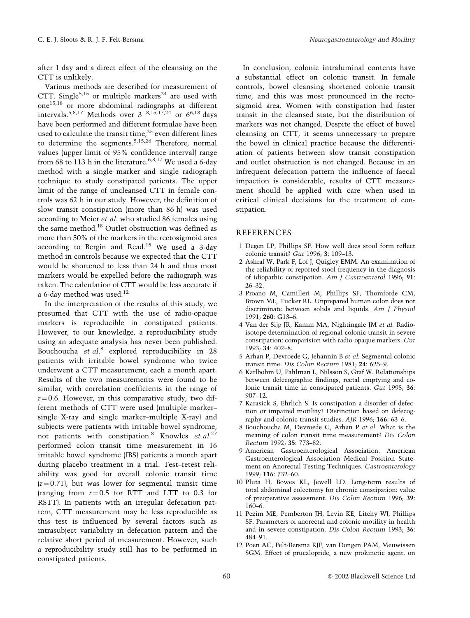after 1 day and a direct effect of the cleansing on the CTT is unlikely.

Various methods are described for measurement of CTT. Single<sup>5,15</sup> or multiple markers<sup>24</sup> are used with one15,18 or more abdominal radiographs at different intervals.<sup>5,8,17</sup> Methods over 3  $8,15,17,24$  or 6<sup>6,18</sup> days have been performed and different formulae have been used to calculate the transit time, $25$  even different lines to determine the segments.<sup>5,15,26</sup> Therefore, normal values (upper limit of 95% confidence interval) range from 68 to 113 h in the literature.<sup>6,8,17</sup> We used a 6-day method with a single marker and single radiograph technique to study constipated patients. The upper limit of the range of uncleansed CTT in female controls was 62 h in our study. However, the definition of slow transit constipation (more than 86 h) was used according to Meier et al. who studied 86 females using the same method.<sup>18</sup> Outlet obstruction was defined as more than 50% of the markers in the rectosigmoid area according to Bergin and Read.<sup>15</sup> We used a 3-day method in controls because we expected that the CTT would be shortened to less than 24 h and thus most markers would be expelled before the radiograph was taken. The calculation of CTT would be less accurate if a 6-day method was used.<sup>12</sup>

In the interpretation of the results of this study, we presumed that CTT with the use of radio-opaque markers is reproducible in constipated patients. However, to our knowledge, a reproducibility study using an adequate analysis has never been published. Bouchoucha et al.<sup>8</sup> explored reproducibility in 28 patients with irritable bowel syndrome who twice underwent a CTT measurement, each a month apart. Results of the two measurements were found to be similar, with correlation coefficients in the range of  $r = 0.6$ . However, in this comparative study, two different methods of CTT were used (multiple markersingle X-ray and single marker-multiple X-ray) and subjects were patients with irritable bowel syndrome, not patients with constipation.<sup>8</sup> Knowles et  $al.^{27}$ performed colon transit time measurement in 16 irritable bowel syndrome (IBS) patients a month apart during placebo treatment in a trial. Test-retest reliability was good for overall colonic transit time  $(r=0.71)$ , but was lower for segmental transit time (ranging from  $r = 0.5$  for RTT and LTT to 0.3 for RSTT). In patients with an irregular defecation pattern, CTT measurement may be less reproducible as this test is influenced by several factors such as intrasubject variability in defecation pattern and the relative short period of measurement. However, such a reproducibility study still has to be performed in constipated patients.

In conclusion, colonic intraluminal contents have a substantial effect on colonic transit. In female controls, bowel cleansing shortened colonic transit time, and this was most pronounced in the rectosigmoid area. Women with constipation had faster transit in the cleansed state, but the distribution of markers was not changed. Despite the effect of bowel cleansing on CTT, it seems unnecessary to prepare the bowel in clinical practice because the differentiation of patients between slow transit constipation and outlet obstruction is not changed. Because in an infrequent defecation pattern the influence of faecal impaction is considerable, results of CTT measurement should be applied with care when used in critical clinical decisions for the treatment of constipation.

#### REFERENCES

- 1 Degen LP, Phillips SF. How well does stool form reflect colonic transit? Gut 1996; 3: 109-13.
- 2 Ashraf W, Park F, Lof J, Quigley EMM. An examination of the reliability of reported stool frequency in the diagnosis of idiopathic constipation. Am J Gastroenterol 1996; 91: 26±32.
- 3 Proano M, Camilleri M, Phillips SF, Thomforde GM, Brown ML, Tucker RL. Unprepared human colon does not discriminate between solids and liquids. Am J Physiol 1991; 260: G13-6.
- 4 Van der Sijp JR, Kamm MA, Nightingale JM et al. Radioisotope determination of regional colonic transit in severe constipation: comparision with radio-opaque markers. Gut 1993; 34: 402-8.
- 5 Arhan P, Devroede G, Jehannin B et al. Segmental colonic transit time. Dis Colon Rectum 1981; 24: 625-9.
- 6 Karlbohm U, Pahlman L, Nilsson S, Graf W. Relationships between defecographic findings, rectal emptying and colonic transit time in constipated patients. Gut 1995; 36:  $907 - 12.$
- 7 Karasick S, Ehrlich S. Is constipation a disorder of defection or impaired motility? Distinction based on defecography and colonic transit studies. AJR 1996; 166: 63-6.
- 8 Bouchoucha M, Devroede G, Arhan P et al. What is the meaning of colon transit time measurement? Dis Colon Rectum 1992; 35: 773-82.
- 9 American Gastroenterological Association. American Gastroenterological Association Medical Position Statement on Anorectal Testing Techniques. Gastroenterology 1999; 116: 732-60.
- 10 Pluta H, Bowes KL, Jewell LD. Long-term results of total abdominal colectomy for chronic constipation: value of preoperative assessment. Dis Colon Rectum 1996; 39:  $160-6.$
- 11 Pezim ME, Pemberton JH, Levin KE, Litchy WJ, Phillips SF. Parameters of anorectal and colonic motility in health and in severe constipation. Dis Colon Rectum 1993; 36: 484±91.
- 12 Poen AC, Felt-Bersma RJF, van Dongen PAM, Meuwissen SGM. Effect of prucalopride, a new prokinetic agent, on